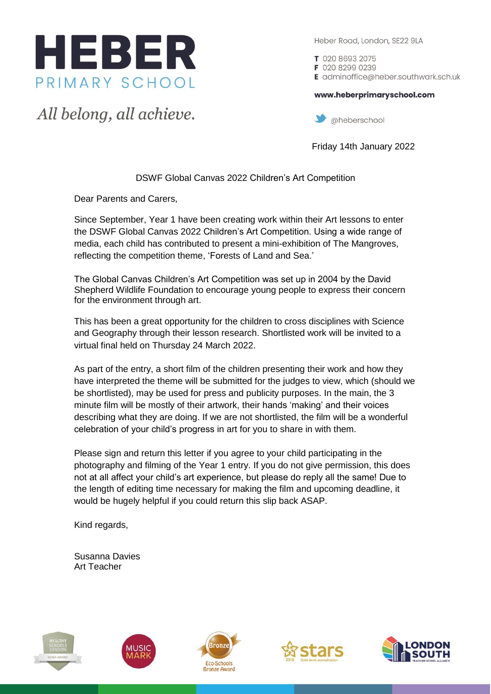

All belong, all achieve.

Heber Road, London, SE22 9LA

T 020 8693 2075 F 020 8299 0239 E adminoffice@heber.southwark.sch.uk

www.heberprimaryschool.com

aheberschool

Friday 14th January 2022

## DSWF Global Canvas 2022 Children's Art Competition

Dear Parents and Carers,

Since September, Year 1 have been creating work within their Art lessons to enter the DSWF Global Canvas 2022 Children's Art Competition. Using a wide range of media, each child has contributed to present a mini-exhibition of The Mangroves, reflecting the competition theme, 'Forests of Land and Sea.'

The Global Canvas Children's Art Competition was set up in 2004 by the David Shepherd Wildlife Foundation to encourage young people to express their concern for the environment through art.

This has been a great opportunity for the children to cross disciplines with Science and Geography through their lesson research. Shortlisted work will be invited to a virtual final held on Thursday 24 March 2022.

As part of the entry, a short film of the children presenting their work and how they have interpreted the theme will be submitted for the judges to view, which (should we be shortlisted), may be used for press and publicity purposes. In the main, the 3 minute film will be mostly of their artwork, their hands 'making' and their voices describing what they are doing. If we are not shortlisted, the film will be a wonderful celebration of your child's progress in art for you to share in with them.

Please sign and return this letter if you agree to your child participating in the photography and filming of the Year 1 entry. If you do not give permission, this does not at all affect your child's art experience, but please do reply all the same! Due to the length of editing time necessary for making the film and upcoming deadline, it would be hugely helpful if you could return this slip back ASAP.

Kind regards,

Susanna Davies Art Teacher